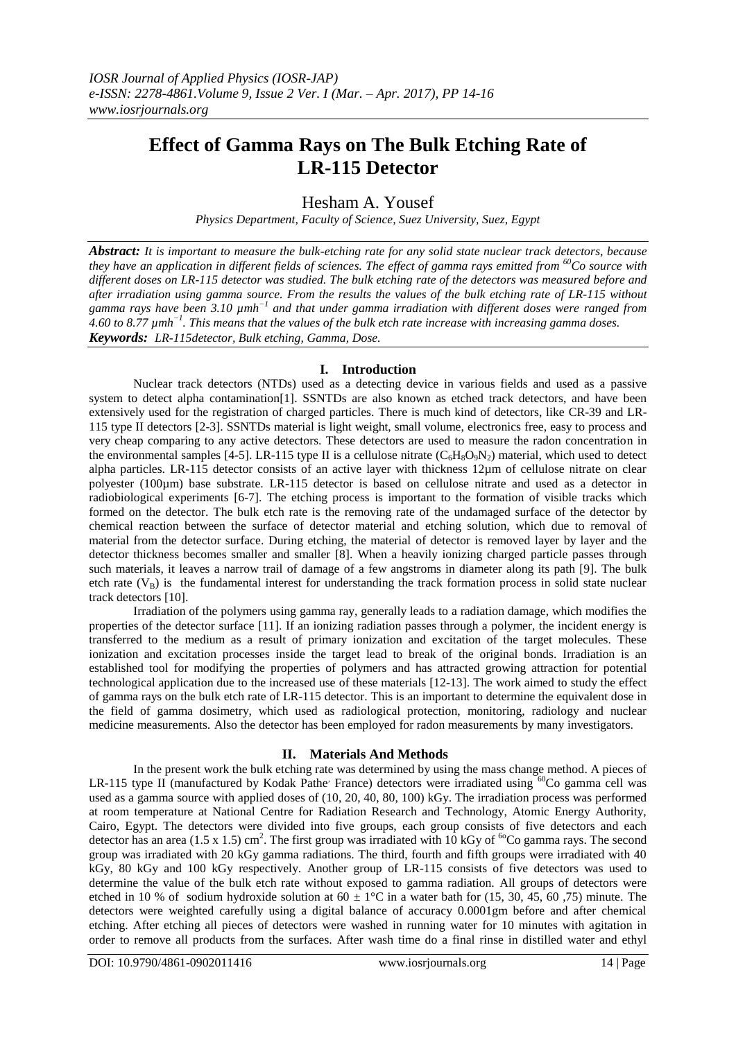# **Effect of Gamma Rays on The Bulk Etching Rate of LR-115 Detector**

Hesham A. Yousef

*Physics Department, Faculty of Science, Suez University, Suez, Egypt*

*Abstract: It is important to measure the bulk-etching rate for any solid state nuclear track detectors, because they have an application in different fields of sciences. The effect of gamma rays emitted from <sup>60</sup>Co source with different doses on LR-115 detector was studied. The bulk etching rate of the detectors was measured before and after irradiation using gamma source. From the results the values of the bulk etching rate of LR-115 without gamma rays have been 3.10*  $\mu$ mh<sup>-1</sup> and that under gamma irradiation with different doses were ranged from *4.60 to 8.77 µmh−1 . This means that the values of the bulk etch rate increase with increasing gamma doses. Keywords: LR-115detector, Bulk etching, Gamma, Dose.*

## **I. Introduction**

Nuclear track detectors (NTDs) used as a detecting device in various fields and used as a passive system to detect alpha contamination<sup>[1]</sup>. SSNTDs are also known as etched track detectors, and have been extensively used for the registration of charged particles. There is much kind of detectors, like CR-39 and LR-115 type II detectors [2-3]. SSNTDs material is light weight, small volume, electronics free, easy to process and very cheap comparing to any active detectors. These detectors are used to measure the radon concentration in the environmental samples [4-5]. LR-115 type II is a cellulose nitrate  $(C_6H_8O_9N_2)$  material, which used to detect alpha particles. LR-115 detector consists of an active layer with thickness 12µm of cellulose nitrate on clear polyester (100µm) base substrate. LR-115 detector is based on cellulose nitrate and used as a detector in radiobiological experiments [6-7]. The etching process is important to the formation of visible tracks which formed on the detector. The bulk etch rate is the removing rate of the undamaged surface of the detector by chemical reaction between the surface of detector material and etching solution, which due to removal of material from the detector surface. During etching, the material of detector is removed layer by layer and the detector thickness becomes smaller and smaller [8]. When a heavily ionizing charged particle passes through such materials, it leaves a narrow trail of damage of a few angstroms in diameter along its path [9]. The bulk etch rate  $(V_B)$  is the fundamental interest for understanding the track formation process in solid state nuclear track detectors [10].

Irradiation of the polymers using gamma ray, generally leads to a radiation damage, which modifies the properties of the detector surface [11]. If an ionizing radiation passes through a polymer, the incident energy is transferred to the medium as a result of primary ionization and excitation of the target molecules. These ionization and excitation processes inside the target lead to break of the original bonds. Irradiation is an established tool for modifying the properties of polymers and has attracted growing attraction for potential technological application due to the increased use of these materials [12-13]. The work aimed to study the effect of gamma rays on the bulk etch rate of LR-115 detector. This is an important to determine the equivalent dose in the field of gamma dosimetry, which used as radiological protection, monitoring, radiology and nuclear medicine measurements. Also the detector has been employed for radon measurements by many investigators.

## **II. Materials And Methods**

In the present work the bulk etching rate was determined by using the mass change method. A pieces of LR-115 type II (manufactured by Kodak Pathe' France) detectors were irradiated using <sup>60</sup>Co gamma cell was used as a gamma source with applied doses of (10, 20, 40, 80, 100) kGy. The irradiation process was performed at room temperature at National Centre for Radiation Research and Technology, Atomic Energy Authority, Cairo, Egypt. The detectors were divided into five groups, each group consists of five detectors and each detector has an area (1.5 x 1.5) cm<sup>2</sup>. The first group was irradiated with 10 kGy of <sup>60</sup>Co gamma rays. The second group was irradiated with 20 kGy gamma radiations. The third, fourth and fifth groups were irradiated with 40 kGy, 80 kGy and 100 kGy respectively. Another group of LR-115 consists of five detectors was used to determine the value of the bulk etch rate without exposed to gamma radiation. All groups of detectors were etched in 10 % of sodium hydroxide solution at  $60 \pm 1^{\circ}$ C in a water bath for (15, 30, 45, 60, 75) minute. The detectors were weighted carefully using a digital balance of accuracy 0.0001gm before and after chemical etching. After etching all pieces of detectors were washed in running water for 10 minutes with agitation in order to remove all products from the surfaces. After wash time do a final rinse in distilled water and ethyl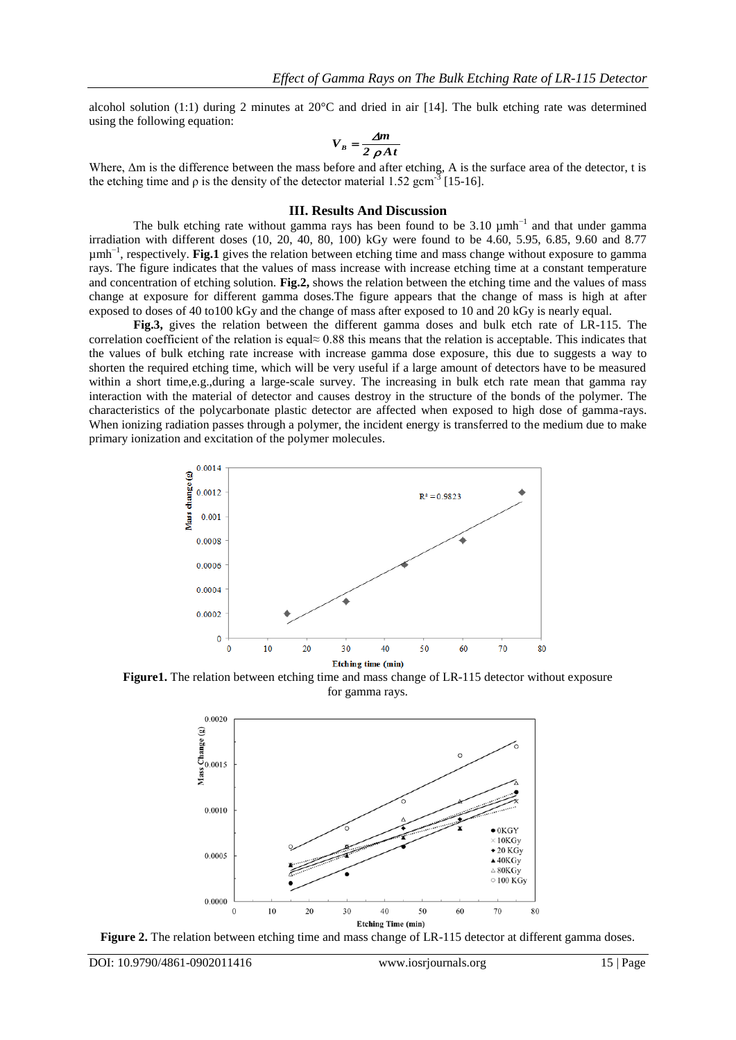alcohol solution (1:1) during 2 minutes at  $20^{\circ}$ C and dried in air [14]. The bulk etching rate was determined using the following equation:

$$
V_B = \frac{\Delta m}{2 \rho A t}
$$

Where, Δm is the difference between the mass before and after etching, A is the surface area of the detector, t is the etching time and  $\rho$  is the density of the detector material 1.52 gcm<sup>-3</sup> [15-16].

#### **III. Results And Discussion**

The bulk etching rate without gamma rays has been found to be 3.10  $\mu$ mh<sup>-1</sup> and that under gamma irradiation with different doses (10, 20, 40, 80, 100) kGy were found to be 4.60, 5.95, 6.85, 9.60 and 8.77 µmh<sup>-1</sup>, respectively. **Fig.1** gives the relation between etching time and mass change without exposure to gamma rays. The figure indicates that the values of mass increase with increase etching time at a constant temperature and concentration of etching solution. **Fig.2,** shows the relation between the etching time and the values of mass change at exposure for different gamma doses.The figure appears that the change of mass is high at after exposed to doses of 40 to100 kGy and the change of mass after exposed to 10 and 20 kGy is nearly equal.

**Fig.3,** gives the relation between the different gamma doses and bulk etch rate of LR-115. The correlation coefficient of the relation is equal≈ 0.88 this means that the relation is acceptable. This indicates that the values of bulk etching rate increase with increase gamma dose exposure, this due to suggests a way to shorten the required etching time, which will be very useful if a large amount of detectors have to be measured within a short time,e.g.,during a large-scale survey. The increasing in bulk etch rate mean that gamma ray interaction with the material of detector and causes destroy in the structure of the bonds of the polymer. The characteristics of the polycarbonate plastic detector are affected when exposed to high dose of gamma-rays. When ionizing radiation passes through a polymer, the incident energy is transferred to the medium due to make primary ionization and excitation of the polymer molecules.



**Figure1.** The relation between etching time and mass change of LR-115 detector without exposure for gamma rays.